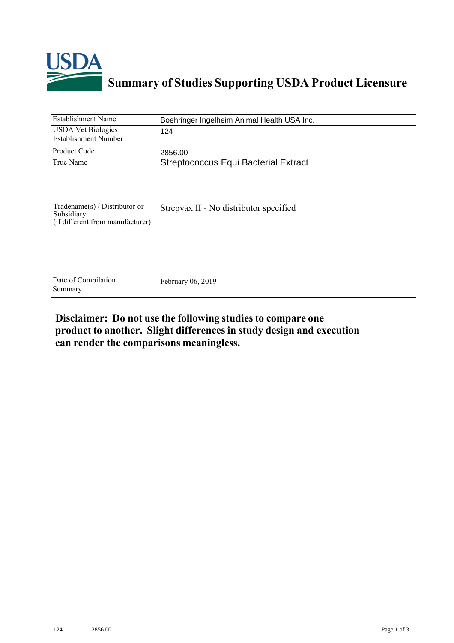

## **Summary of Studies Supporting USDA Product Licensure**

| <b>Establishment Name</b>                                                          | Boehringer Ingelheim Animal Health USA Inc. |
|------------------------------------------------------------------------------------|---------------------------------------------|
| <b>USDA Vet Biologics</b><br><b>Establishment Number</b>                           | 124                                         |
| <b>Product Code</b>                                                                | 2856.00                                     |
| True Name                                                                          | <b>Streptococcus Equi Bacterial Extract</b> |
| Tradename $(s)$ / Distributor or<br>Subsidiary<br>(if different from manufacturer) | Strepvax II - No distributor specified      |
| Date of Compilation<br>Summary                                                     | February 06, 2019                           |

## **Disclaimer: Do not use the following studiesto compare one product to another. Slight differencesin study design and execution can render the comparisons meaningless.**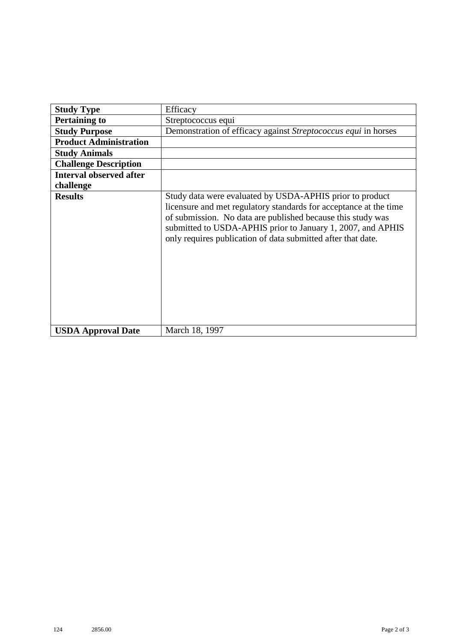| <b>Study Type</b>              | Efficacy                                                                                                                                                                                                                                                                                                                    |
|--------------------------------|-----------------------------------------------------------------------------------------------------------------------------------------------------------------------------------------------------------------------------------------------------------------------------------------------------------------------------|
| <b>Pertaining to</b>           | Streptococcus equi                                                                                                                                                                                                                                                                                                          |
| <b>Study Purpose</b>           | Demonstration of efficacy against Streptococcus equi in horses                                                                                                                                                                                                                                                              |
| <b>Product Administration</b>  |                                                                                                                                                                                                                                                                                                                             |
| <b>Study Animals</b>           |                                                                                                                                                                                                                                                                                                                             |
| <b>Challenge Description</b>   |                                                                                                                                                                                                                                                                                                                             |
| <b>Interval observed after</b> |                                                                                                                                                                                                                                                                                                                             |
| challenge                      |                                                                                                                                                                                                                                                                                                                             |
| <b>Results</b>                 | Study data were evaluated by USDA-APHIS prior to product<br>licensure and met regulatory standards for acceptance at the time<br>of submission. No data are published because this study was<br>submitted to USDA-APHIS prior to January 1, 2007, and APHIS<br>only requires publication of data submitted after that date. |
| <b>USDA Approval Date</b>      | March 18, 1997                                                                                                                                                                                                                                                                                                              |